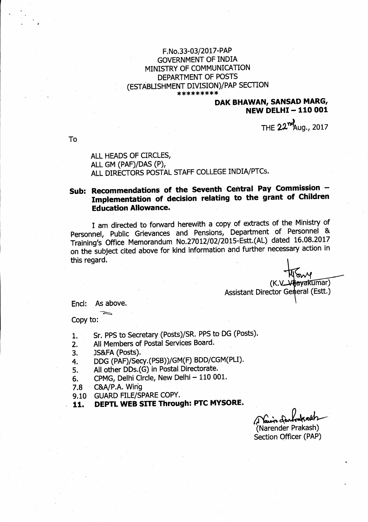## F.No.33-03/2017-PAP **GOVERNMENT OF INDIA** MINISTRY OF COMMUNICATION DEPARTMENT OF POSTS (ESTABLISHMENT DIVISION)/PAP SECTION \*\*\*\*\*\*\*\*\*

## **DAK BHAWAN, SANSAD MARG, NEW DELHI-110 001**

THE 22<sup>nm</sup>Aug., 2017

To

ALL HEADS OF CIRCLES, ALL GM (PAF)/DAS (P), ALL DIRECTORS POSTAL STAFF COLLEGE INDIA/PTCs.

## Sub: Recommendations of the Seventh Central Pay Commission -Implementation of decision relating to the grant of Children **Education Allowance.**

I am directed to forward herewith a copy of extracts of the Ministry of Personnel, Public Grievances and Pensions, Department of Personnel & Training's Office Memorandum No.27012/02/2015-Estt.(AL) dated 16.08.2017 on the subject cited above for kind information and further necessary action in this regard.

 $\delta v$ (K.V\_Vijayakumar) Assistant Director Gemeral (Estt.)

As above. Encl:

Copy to:

- Sr. PPS to Secretary (Posts)/SR. PPS to DG (Posts).  $1.$
- All Members of Postal Services Board.  $2.$
- JS&FA (Posts). 3.
- DDG (PAF)/Secy.(PSB))/GM(F) BDD/CGM(PLI). 4.
- All other DDs.(G) in Postal Directorate. 5.
- CPMG, Delhi Circle, New Delhi 110 001. 6.
- C&A/P.A. Wing  $7.8$
- 9.10 GUARD FILE/SPARE COPY.
- DEPTL WEB SITE Through: PTC MYSORE. 11.

(Narender Prakash) Section Officer (PAP)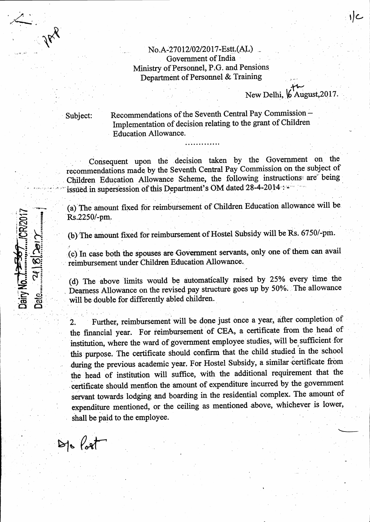## No.A-27012/02/2017-Estt.(AL) Government of India Ministry of Personnel, P.G. and Pensions Department of Personnel & Training

New Delhi, 6 August, 2017

Subject:

Dairy No.

Recommendations of the Seventh Central Pay Commission-Implementation of decision relating to the grant of Children **Education Allowance.** 

Consequent upon the decision taken by the Government on the recommendations made by the Seventh Central Pay Commission on the subject of Children Education Allowance Scheme, the following instructions are being issued in supersession of this Department's OM dated 28-4-2014 :-

(a) The amount fixed for reimbursement of Children Education allowance will be Rs.2250/-pm.

(b) The amount fixed for reimbursement of Hostel Subsidy will be Rs. 6750/-pm.

(c) In case both the spouses are Government servants, only one of them can avail reimbursement under Children Education Allowance.

(d) The above limits would be automatically raised by 25% every time the Dearness Allowance on the revised pay structure goes up by 50%. The allowance will be double for differently abled children.

Further, reimbursement will be done just once a year, after completion of  $\overline{2}$ . the financial year. For reimbursement of CEA, a certificate from the head of institution, where the ward of government employee studies, will be sufficient for this purpose. The certificate should confirm that the child studied in the school during the previous academic year. For Hostel Subsidy, a similar certificate from the head of institution will suffice, with the additional requirement that the certificate should mention the amount of expenditure incurred by the government servant towards lodging and boarding in the residential complex. The amount of expenditure mentioned, or the ceiling as mentioned above, whichever is lower, shall be paid to the employee.

 $Brk$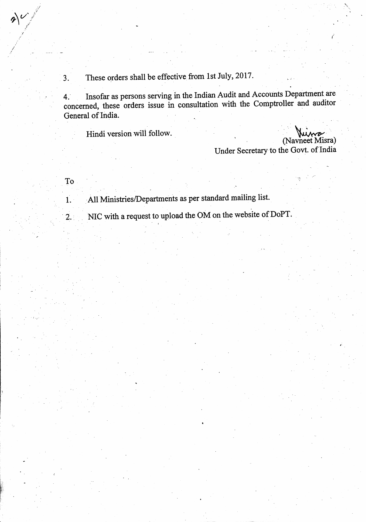These orders shall be effective from 1st July, 2017.  $3.$ 

Insofar as persons serving in the Indian Audit and Accounts Department are  $4.$ concerned, these orders issue in consultation with the Comptroller and auditor General of India.

Hindi version will follow.

(Navneet Misra) Under Secretary to the Govt. of India

To

 $\dot{1}$ .

 $2.1$ 

 $x$ 

All Ministries/Departments as per standard mailing list.

NIC with a request to upload the OM on the website of DoPT.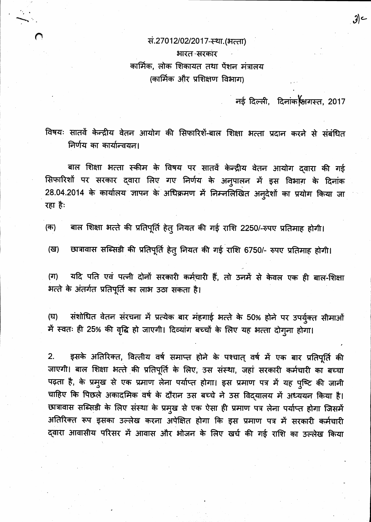सं.27012/02/2017-स्था.(भत्ता) भारत-सरकार कार्मिक, लोक शिकायत तथा पेंशन मंत्रालय (कार्मिक और प्रशिक्षण विभाग)

नई दिल्ली, दिनांक सिगस्त, 2017

 $3$ 

विषयः सातवें केन्द्रीय वेतन आयोग की सिफारिशें-बाल शिक्षा भत्ता प्रदान करने से संबंधित निर्णय का कार्यान्वयन।

बाल शिक्षा भत्ता स्कीम के विषय पर सातवें केन्द्रीय वेतन आयोग द्वारा की गई सिफारिशों पर सरकार द्वारा लिए गए निर्णय के अनुपालन में इस विभाग के दिनांक 28.04.2014 के कार्यालय ज्ञापन के अधिक्रमण में निम्नलिखित अनुदेशों का प्रयोग किया जा रहा है:

बाल शिक्षा भत्ते की प्रतिपूर्ति हेत् नियत की गई राशि 2250/-रुपए प्रतिमाह होगी। (क)

छात्रावास सब्सिडी की प्रतिपूर्ति हेतु नियत की गई राशि 6750/- रुपए प्रतिमाह होगी। (ख)

यदि पति एवं पत्नी दोनों सरकारी कर्मचारी हैं, तो उनमें से केवल एक ही बाल-शिक्षा (ग) भत्ते के अंतर्गत प्रतिपूर्ति का लाभ उठा सकता है।

संशोधित वेतन संरचना में प्रत्येक बार मंहगाई भत्ते के 50% होने पर उपर्युक्त सीमाओं (घ) में स्वतः ही 25% की वृद्धि हो जाएगी। दिव्यांग बच्चों के लिए यह भत्ता दोगूना होगा।

इसके अतिरिक्त, वित्तीय वर्ष समाप्त होने के पश्चात् वर्ष में एक बार प्रतिपूर्ति की  $2.$ जाएगी। बाल शिक्षा भत्ते की प्रतिपूर्ति के लिए, उस संस्था, जहां सरकारी कर्मचारी का बच्चा पढ़ता है, के प्रमुख से एक प्रमाण लेना पर्याप्त होगा। इस प्रमाण पत्र में यह पुष्टि की जानी चाहिए कि पिछले अकादमिक वर्ष के दौरान उस बच्चे ने उस विद्यालय में अध्ययन किया है। छात्रावास सब्सिडी के लिए संस्था के प्रमुख से एक ऐसा ही प्रमाण पत्र लेना पर्याप्त होगा जिसमें अतिरिक्त रूप इसका उल्लेख करना अपेक्षित होगा कि इस प्रमाण पत्र में सरकारी कर्मचारी द्वारा आवासीय परिसर में आवास और भोजन के लिए खर्च की गई राशि का उल्लेख किया